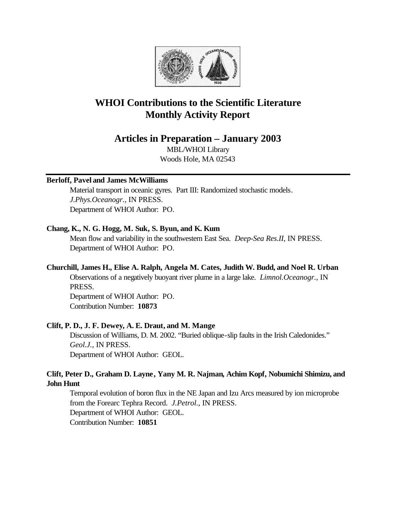

# **WHOI Contributions to the Scientific Literature Monthly Activity Report**

# **Articles in Preparation – January 2003**

MBL/WHOI Library Woods Hole, MA 02543

# **Berloff, Pavel and James McWilliams**

Material transport in oceanic gyres. Part III: Randomized stochastic models. *J.Phys.Oceanogr.*, IN PRESS. Department of WHOI Author: PO.

# **Chang, K., N. G. Hogg, M. Suk, S. Byun, and K. Kum**

Mean flow and variability in the southwestern East Sea. *Deep-Sea Res.II*, IN PRESS. Department of WHOI Author: PO.

# **Churchill, James H., Elise A. Ralph, Angela M. Cates, Judith W. Budd, and Noel R. Urban**

Observations of a negatively buoyant river plume in a large lake. *Limnol.Oceanogr.*, IN PRESS.

Department of WHOI Author: PO. Contribution Number: **10873**

# **Clift, P. D., J. F. Dewey, A. E. Draut, and M. Mange**

Discussion of Williams, D. M. 2002. "Buried oblique-slip faults in the Irish Caledonides." *Geol.J.*, IN PRESS. Department of WHOI Author: GEOL.

# **Clift, Peter D., Graham D. Layne, Yany M. R. Najman, Achim Kopf, Nobumichi Shimizu, and John Hunt**

Temporal evolution of boron flux in the NE Japan and Izu Arcs measured by ion microprobe from the Forearc Tephra Record. *J.Petrol.*, IN PRESS. Department of WHOI Author: GEOL. Contribution Number: **10851**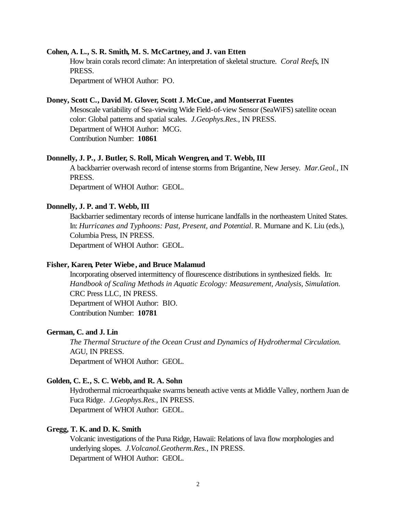#### **Cohen, A. L., S. R. Smith, M. S. McCartney, and J. van Etten**

How brain corals record climate: An interpretation of skeletal structure. *Coral Reefs*, IN PRESS.

Department of WHOI Author: PO.

### **Doney, Scott C., David M. Glover, Scott J. McCue , and Montserrat Fuentes**

Mesoscale variability of Sea-viewing Wide Field-of-view Sensor (SeaWiFS) satellite ocean color: Global patterns and spatial scales. *J.Geophys.Res.*, IN PRESS. Department of WHOI Author: MCG. Contribution Number: **10861**

#### **Donnelly, J. P., J. Butler, S. Roll, Micah Wengren, and T. Webb, III**

A backbarrier overwash record of intense storms from Brigantine, New Jersey. *Mar.Geol.*, IN PRESS.

Department of WHOI Author: GEOL.

### **Donnelly, J. P. and T. Webb, III**

Backbarrier sedimentary records of intense hurricane landfalls in the northeastern United States. In: *Hurricanes and Typhoons: Past, Present, and Potential*. R. Murnane and K. Liu (eds.), Columbia Press, IN PRESS. Department of WHOI Author: GEOL.

### **Fisher, Karen, Peter Wiebe, and Bruce Malamud**

Incorporating observed intermittency of flourescence distributions in synthesized fields. In: *Handbook of Scaling Methods in Aquatic Ecology: Measurement, Analysis, Simulation.*  CRC Press LLC, IN PRESS. Department of WHOI Author: BIO. Contribution Number: **10781**

#### **German, C. and J. Lin**

*The Thermal Structure of the Ocean Crust and Dynamics of Hydrothermal Circulation.*  AGU, IN PRESS. Department of WHOI Author: GEOL.

### **Golden, C. E., S. C. Webb, and R. A. Sohn**

Hydrothermal microearthquake swarms beneath active vents at Middle Valley, northern Juan de Fuca Ridge. *J.Geophys.Res.*, IN PRESS. Department of WHOI Author: GEOL.

### **Gregg, T. K. and D. K. Smith**

Volcanic investigations of the Puna Ridge, Hawaii: Relations of lava flow morphologies and underlying slopes. *J.Volcanol.Geotherm.Res.*, IN PRESS. Department of WHOI Author: GEOL.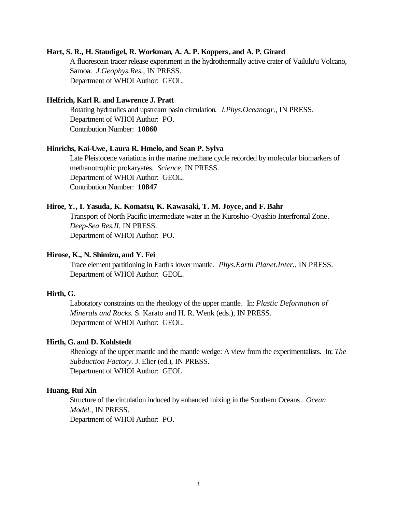### **Hart, S. R., H. Staudigel, R. Workman, A. A. P. Koppers, and A. P. Girard**

A fluorescein tracer release experiment in the hydrothermally active crater of Vailulu'u Volcano, Samoa. *J.Geophys.Res.*, IN PRESS. Department of WHOI Author: GEOL.

### **Helfrich, Karl R. and Lawrence J. Pratt**

Rotating hydraulics and upstream basin circulation. *J.Phys.Oceanogr.*, IN PRESS. Department of WHOI Author: PO. Contribution Number: **10860**

### **Hinrichs, Kai-Uwe, Laura R. Hmelo, and Sean P. Sylva**

Late Pleistocene variations in the marine methane cycle recorded by molecular biomarkers of methanotrophic prokaryates. *Science*, IN PRESS. Department of WHOI Author: GEOL. Contribution Number: **10847**

### **Hiroe, Y., I. Yasuda, K. Komatsu, K. Kawasaki, T. M. Joyce, and F. Bahr**

Transport of North Pacific intermediate water in the Kuroshio-Oyashio Interfrontal Zone. *Deep-Sea Res.II*, IN PRESS. Department of WHOI Author: PO.

### **Hirose, K., N. Shimizu, and Y. Fei**

Trace element partitioning in Earth's lower mantle. *Phys.Earth Planet.Inter.*, IN PRESS. Department of WHOI Author: GEOL.

### **Hirth, G.**

Laboratory constraints on the rheology of the upper mantle. In: *Plastic Deformation of Minerals and Rocks.* S. Karato and H. R. Wenk (eds.), IN PRESS. Department of WHOI Author: GEOL.

### **Hirth, G. and D. Kohlstedt**

Rheology of the upper mantle and the mantle wedge: A view from the experimentalists. In: *The Subduction Factory.* J. Elier (ed.), IN PRESS. Department of WHOI Author: GEOL.

### **Huang, Rui Xin**

Structure of the circulation induced by enhanced mixing in the Southern Oceans. *Ocean Model.*, IN PRESS. Department of WHOI Author: PO.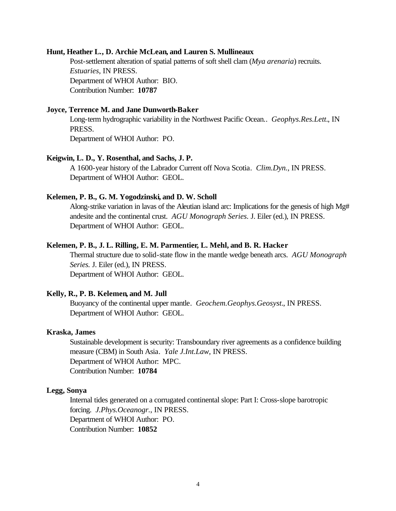### **Hunt, Heather L., D. Archie McLean, and Lauren S. Mullineaux**

Post-settlement alteration of spatial patterns of soft shell clam (*Mya arenaria*) recruits. *Estuaries*, IN PRESS. Department of WHOI Author: BIO. Contribution Number: **10787**

### **Joyce, Terrence M. and Jane Dunworth-Baker**

Long-term hydrographic variability in the Northwest Pacific Ocean.. *Geophys.Res.Lett.*, IN PRESS. Department of WHOI Author: PO.

#### **Keigwin, L. D., Y. Rosenthal, and Sachs, J. P.**

A 1600-year history of the Labrador Current off Nova Scotia. *Clim.Dyn.*, IN PRESS. Department of WHOI Author: GEOL.

### **Kelemen, P. B., G. M. Yogodzinski, and D. W. Scholl**

Along-strike variation in lavas of the Aleutian island arc: Implications for the genesis of high Mg# andesite and the continental crust. *AGU Monograph Series.* J. Eiler (ed.), IN PRESS. Department of WHOI Author: GEOL.

### **Kelemen, P. B., J. L. Rilling, E. M. Parmentier, L. Mehl, and B. R. Hacker**

Thermal structure due to solid-state flow in the mantle wedge beneath arcs. *AGU Monograph Series.* J. Eiler (ed.), IN PRESS. Department of WHOI Author: GEOL.

#### **Kelly, R., P. B. Kelemen, and M. Jull**

Buoyancy of the continental upper mantle. *Geochem.Geophys.Geosyst.*, IN PRESS. Department of WHOI Author: GEOL.

#### **Kraska, James**

Sustainable development is security: Transboundary river agreements as a confidence building measure (CBM) in South Asia. *Yale J.Int.Law*, IN PRESS. Department of WHOI Author: MPC. Contribution Number: **10784**

### **Legg, Sonya**

Internal tides generated on a corrugated continental slope: Part I: Cross-slope barotropic forcing. *J.Phys.Oceanogr.*, IN PRESS. Department of WHOI Author: PO. Contribution Number: **10852**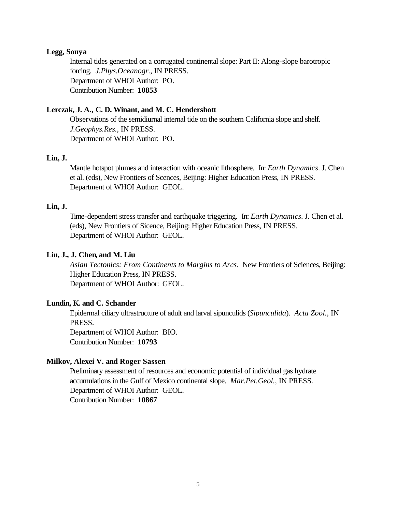### **Legg, Sonya**

Internal tides generated on a corrugated continental slope: Part II: Along-slope barotropic forcing. *J.Phys.Oceanogr.*, IN PRESS. Department of WHOI Author: PO. Contribution Number: **10853**

## **Lerczak, J. A., C. D. Winant, and M. C. Hendershott**

Observations of the semidiurnal internal tide on the southern California slope and shelf. *J.Geophys.Res.*, IN PRESS. Department of WHOI Author: PO.

### **Lin, J.**

Mantle hotspot plumes and interaction with oceanic lithosphere. In: *Earth Dynamics*. J. Chen et al. (eds), New Frontiers of Scences, Beijing: Higher Education Press, IN PRESS. Department of WHOI Author: GEOL.

### **Lin, J.**

Time-dependent stress transfer and earthquake triggering. In: *Earth Dynamics*. J. Chen et al. (eds), New Frontiers of Sicence, Beijing: Higher Education Press, IN PRESS. Department of WHOI Author: GEOL.

## **Lin, J., J. Chen, and M. Liu**

*Asian Tectonics: From Continents to Margins to Arcs.* New Frontiers of Sciences, Beijing: Higher Education Press, IN PRESS.

Department of WHOI Author: GEOL.

### **Lundin, K. and C. Schander**

Epidermal ciliary ultrastructure of adult and larval sipunculids (*Sipunculida*). *Acta Zool.*, IN PRESS.

Department of WHOI Author: BIO. Contribution Number: **10793**

### **Milkov, Alexei V. and Roger Sassen**

Preliminary assessment of resources and economic potential of individual gas hydrate accumulations in the Gulf of Mexico continental slope. *Mar.Pet.Geol.*, IN PRESS. Department of WHOI Author: GEOL. Contribution Number: **10867**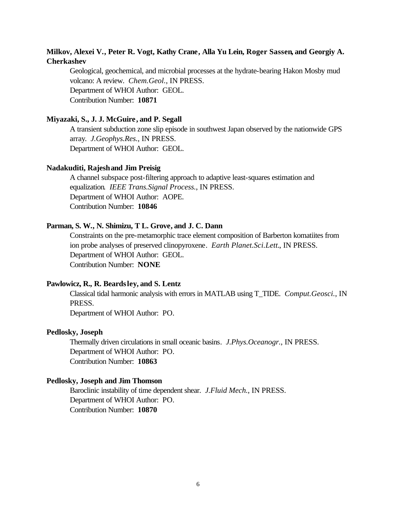# **Milkov, Alexei V., Peter R. Vogt, Kathy Crane, Alla Yu Lein, Roger Sassen, and Georgiy A. Cherkashev**

Geological, geochemical, and microbial processes at the hydrate-bearing Hakon Mosby mud volcano: A review. *Chem.Geol.*, IN PRESS. Department of WHOI Author: GEOL. Contribution Number: **10871**

### **Miyazaki, S., J. J. McGuire, and P. Segall**

A transient subduction zone slip episode in southwest Japan observed by the nationwide GPS array. *J.Geophys.Res.*, IN PRESS. Department of WHOI Author: GEOL.

### **Nadakuditi, Rajesh and Jim Preisig**

A channel subspace post-filtering approach to adaptive least-squares estimation and equalization. *IEEE Trans.Signal Process.*, IN PRESS. Department of WHOI Author: AOPE. Contribution Number: **10846**

# **Parman, S. W., N. Shimizu, T L. Grove, and J. C. Dann**

Constraints on the pre-metamorphic trace element composition of Barberton komatiites from ion probe analyses of preserved clinopyroxene. *Earth Planet.Sci.Lett.*, IN PRESS. Department of WHOI Author: GEOL. Contribution Number: **NONE**

### **Pawlowicz, R., R. Beardsley, and S. Lentz**

Classical tidal harmonic analysis with errors in MATLAB using T\_TIDE. *Comput.Geosci.*, IN PRESS.

Department of WHOI Author: PO.

#### **Pedlosky, Joseph**

Thermally driven circulations in small oceanic basins. *J.Phys.Oceanogr.*, IN PRESS. Department of WHOI Author: PO. Contribution Number: **10863**

### **Pedlosky, Joseph and Jim Thomson**

Baroclinic instability of time dependent shear. *J.Fluid Mech.*, IN PRESS. Department of WHOI Author: PO. Contribution Number: **10870**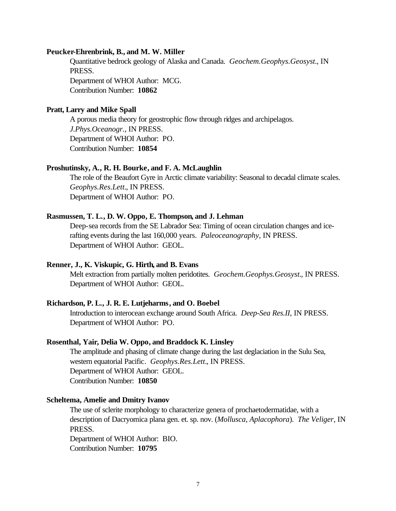### **Peucker-Ehrenbrink, B., and M. W. Miller**

Quantitative bedrock geology of Alaska and Canada. *Geochem.Geophys.Geosyst.*, IN PRESS. Department of WHOI Author: MCG.

Contribution Number: **10862**

### **Pratt, Larry and Mike Spall**

A porous media theory for geostrophic flow through ridges and archipelagos. *J.Phys.Oceanogr.*, IN PRESS. Department of WHOI Author: PO. Contribution Number: **10854**

### **Proshutinsky, A., R. H. Bourke, and F. A. McLaughlin**

The role of the Beaufort Gyre in Arctic climate variability: Seasonal to decadal climate scales. *Geophys.Res.Lett.*, IN PRESS. Department of WHOI Author: PO.

## **Rasmussen, T. L., D. W. Oppo, E. Thompson, and J. Lehman**

Deep-sea records from the SE Labrador Sea: Timing of ocean circulation changes and icerafting events during the last 160,000 years. *Paleoceanography*, IN PRESS. Department of WHOI Author: GEOL.

## **Renner, J., K. Viskupic, G. Hirth, and B. Evans**

Melt extraction from partially molten peridotites. *Geochem.Geophys.Geosyst.*, IN PRESS. Department of WHOI Author: GEOL.

### **Richardson, P. L., J. R. E. Lutjeharms, and O. Boebel**

Introduction to interocean exchange around South Africa. *Deep-Sea Res.II*, IN PRESS. Department of WHOI Author: PO.

### **Rosenthal, Yair, Delia W. Oppo, and Braddock K. Linsley**

The amplitude and phasing of climate change during the last deglaciation in the Sulu Sea, western equatorial Pacific. *Geophys.Res.Lett.*, IN PRESS. Department of WHOI Author: GEOL. Contribution Number: **10850**

#### **Scheltema, Amelie and Dmitry Ivanov**

The use of sclerite morphology to characterize genera of prochaetodermatidae, with a description of Dacryomica plana gen. et. sp. nov. (*Mollusca, Aplacophora*). *The Veliger*, IN PRESS.

Department of WHOI Author: BIO. Contribution Number: **10795**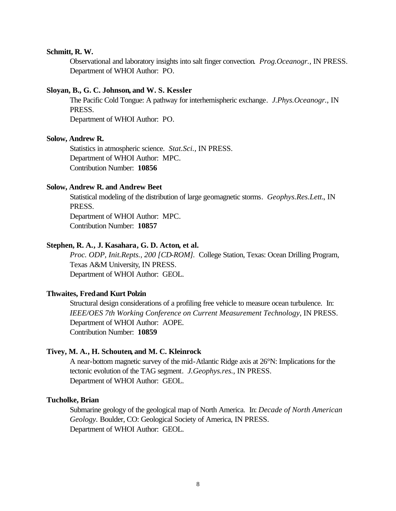### **Schmitt, R. W.**

Observational and laboratory insights into salt finger convection. *Prog.Oceanogr.*, IN PRESS. Department of WHOI Author: PO.

#### **Sloyan, B., G. C. Johnson, and W. S. Kessler**

The Pacific Cold Tongue: A pathway for interhemispheric exchange. *J.Phys.Oceanogr.*, IN PRESS.

Department of WHOI Author: PO.

#### **Solow, Andrew R.**

Statistics in atmospheric science. *Stat.Sci.*, IN PRESS. Department of WHOI Author: MPC. Contribution Number: **10856**

#### **Solow, Andrew R. and Andrew Beet**

Statistical modeling of the distribution of large geomagnetic storms. *Geophys.Res.Lett.*, IN PRESS.

Department of WHOI Author: MPC. Contribution Number: **10857**

### **Stephen, R. A., J. Kasahara, G. D. Acton, et al.**

*Proc. ODP, Init.Repts., 200 [CD-ROM].* College Station, Texas: Ocean Drilling Program, Texas A&M University, IN PRESS. Department of WHOI Author: GEOL.

### **Thwaites, Fred and Kurt Polzin**

Structural design considerations of a profiling free vehicle to measure ocean turbulence. In: *IEEE/OES 7th Working Conference on Current Measurement Technology*, IN PRESS. Department of WHOI Author: AOPE. Contribution Number: **10859**

### **Tivey, M. A., H. Schouten, and M. C. Kleinrock**

A near-bottom magnetic survey of the mid-Atlantic Ridge axis at 26°N: Implications for the tectonic evolution of the TAG segment. *J.Geophys.res.*, IN PRESS. Department of WHOI Author: GEOL.

#### **Tucholke, Brian**

Submarine geology of the geological map of North America. In: *Decade of North American Geology.* Boulder, CO: Geological Society of America, IN PRESS. Department of WHOI Author: GEOL.